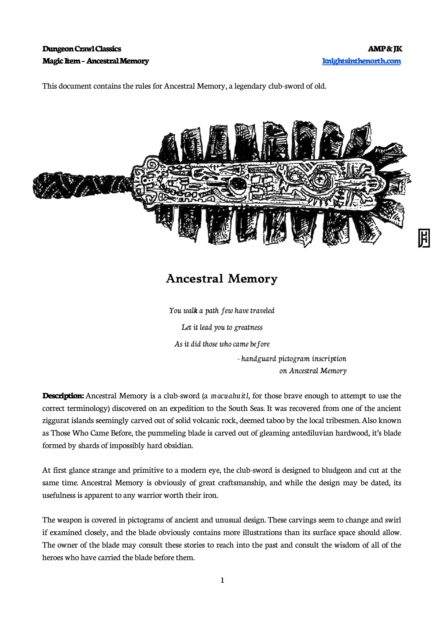## **Dungeon Crawl Classics AMP & JK Magic Item – Ancestral Memory [knightsinthenorth.com](http://knightsinthenorth.com/)**

This document contains the rules for Ancestral Memory, a legendary club-sword of old.



## **Ancestral Memory**

You walk a path few have traveled Let it lead you to greatness As it did those who came before - handguard pictogram inscription on Ancestral Memory

**Description:** Ancestral Memory is a club-sword (a *macuahuitl*, for those brave enough to attempt to use the correct terminology) discovered on an expedition to the South Seas. It was recovered from one of the ancient ziggurat islands seemingly carved out of solid volcanic rock, deemed taboo by the local tribesmen. Also known as Those Who Came Before, the pummeling blade is carved out of gleaming antediluvian hardwood, it's blade formed by shards of impossibly hard obsidian.

At first glance strange and primitive to a modern eye, the club-sword is designed to bludgeon and cut at the same time. Ancestral Memory is obviously of great craftsmanship, and while the design may be dated, its usefulness is apparent to any warrior worth their iron.

The weapon is covered in pictograms of ancient and unusual design. These carvings seem to change and swirl if examined closely, and the blade obviously contains more illustrations than its surface space should allow. The owner of the blade may consult these stories to reach into the past and consult the wisdom of all of the heroes who have carried the blade before them.